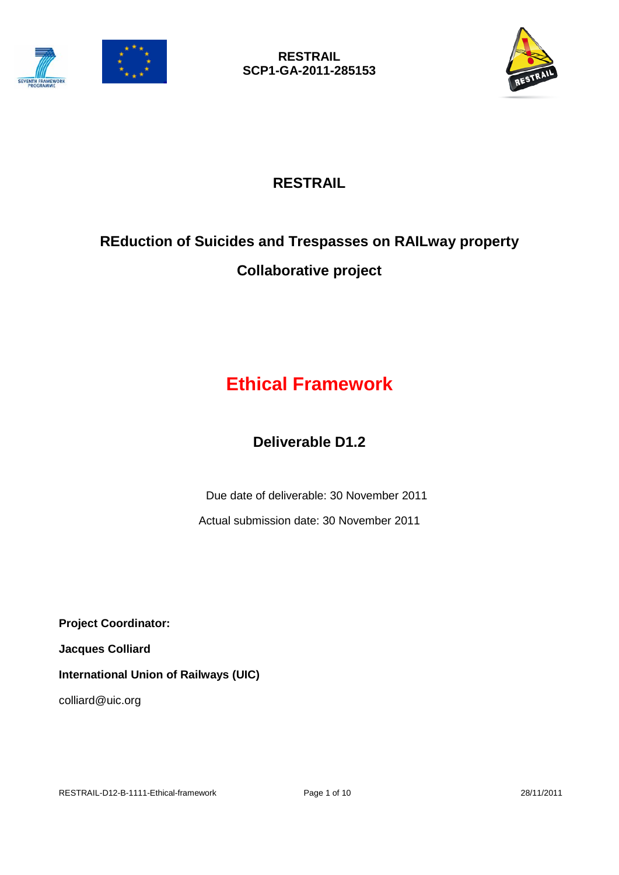



## **RESTRAIL**

# **REduction of Suicides and Trespasses on RAILway property Collaborative project**

# **Ethical Framework**

## **Deliverable D1.2**

Due date of deliverable: 30 November 2011

Actual submission date: 30 November 2011

**Project Coordinator:** 

**Jacques Colliard**

**International Union of Railways (UIC)**

colliard@uic.org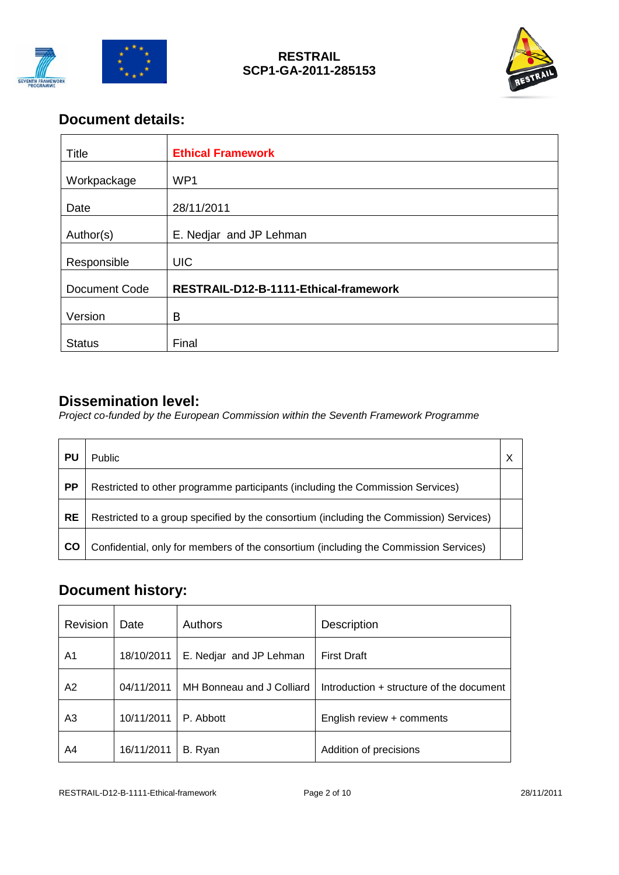

#### **RESTRAIL SCP1-GA-2011-285153**



## **Document details:**

| Title         | <b>Ethical Framework</b>              |
|---------------|---------------------------------------|
| Workpackage   | WP1                                   |
| Date          | 28/11/2011                            |
| Author(s)     | E. Nedjar and JP Lehman               |
| Responsible   | <b>UIC</b>                            |
| Document Code | RESTRAIL-D12-B-1111-Ethical-framework |
| Version       | B                                     |
|               |                                       |
| <b>Status</b> | Final                                 |

### **Dissemination level:**

*Project co-funded by the European Commission within the Seventh Framework Programme*

| PU        | <b>Public</b>                                                                          | X |
|-----------|----------------------------------------------------------------------------------------|---|
| <b>PP</b> | Restricted to other programme participants (including the Commission Services)         |   |
| <b>RE</b> | Restricted to a group specified by the consortium (including the Commission) Services) |   |
| CO        | Confidential, only for members of the consortium (including the Commission Services)   |   |

## **Document history:**

| <b>Revision</b> | Date       | <b>Authors</b>            | <b>Description</b>                       |
|-----------------|------------|---------------------------|------------------------------------------|
| A <sub>1</sub>  | 18/10/2011 | E. Nedjar and JP Lehman   | <b>First Draft</b>                       |
| A2              | 04/11/2011 | MH Bonneau and J Colliard | Introduction + structure of the document |
| A3              | 10/11/2011 | P. Abbott                 | English review + comments                |
| A4              | 16/11/2011 | B. Ryan                   | Addition of precisions                   |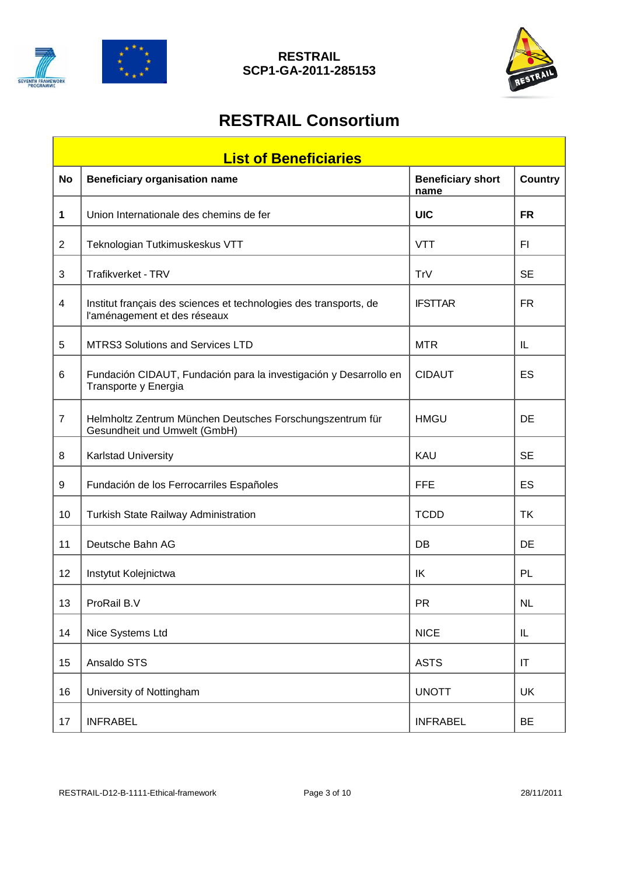

#### **RESTRAIL SCP1-GA-2011-285153**



## **RESTRAIL Consortium**

|                | <b>List of Beneficiaries</b>                                                                      |                                  |           |  |  |  |
|----------------|---------------------------------------------------------------------------------------------------|----------------------------------|-----------|--|--|--|
| <b>No</b>      | <b>Beneficiary organisation name</b>                                                              | <b>Beneficiary short</b><br>name | Country   |  |  |  |
| 1              | Union Internationale des chemins de fer                                                           | <b>UIC</b>                       | <b>FR</b> |  |  |  |
| $\overline{2}$ | Teknologian Tutkimuskeskus VTT                                                                    | <b>VTT</b>                       | FI        |  |  |  |
| 3              | Trafikverket - TRV                                                                                | TrV                              | <b>SE</b> |  |  |  |
| 4              | Institut français des sciences et technologies des transports, de<br>l'aménagement et des réseaux | <b>IFSTTAR</b>                   | <b>FR</b> |  |  |  |
| 5              | MTRS3 Solutions and Services LTD                                                                  | <b>MTR</b>                       | IL        |  |  |  |
| 6              | Fundación CIDAUT, Fundación para la investigación y Desarrollo en<br>Transporte y Energia         | <b>CIDAUT</b>                    | ES        |  |  |  |
| $\overline{7}$ | Helmholtz Zentrum München Deutsches Forschungszentrum für<br>Gesundheit und Umwelt (GmbH)         | <b>HMGU</b>                      | DE        |  |  |  |
| 8              | <b>Karlstad University</b>                                                                        | KAU                              | <b>SE</b> |  |  |  |
| 9              | Fundación de los Ferrocarriles Españoles                                                          | <b>FFE</b>                       | ES        |  |  |  |
| 10             | Turkish State Railway Administration                                                              | <b>TCDD</b>                      | <b>TK</b> |  |  |  |
| 11             | Deutsche Bahn AG                                                                                  | DB                               | DE        |  |  |  |
| 12             | Instytut Kolejnictwa                                                                              | IK                               | PL        |  |  |  |
| 13             | ProRail B.V                                                                                       | <b>PR</b>                        | <b>NL</b> |  |  |  |
| 14             | Nice Systems Ltd                                                                                  | <b>NICE</b>                      | IL        |  |  |  |
| 15             | Ansaldo STS                                                                                       | <b>ASTS</b>                      | IT        |  |  |  |
| 16             | University of Nottingham                                                                          | <b>UNOTT</b>                     | UK        |  |  |  |
| 17             | <b>INFRABEL</b>                                                                                   | <b>INFRABEL</b>                  | <b>BE</b> |  |  |  |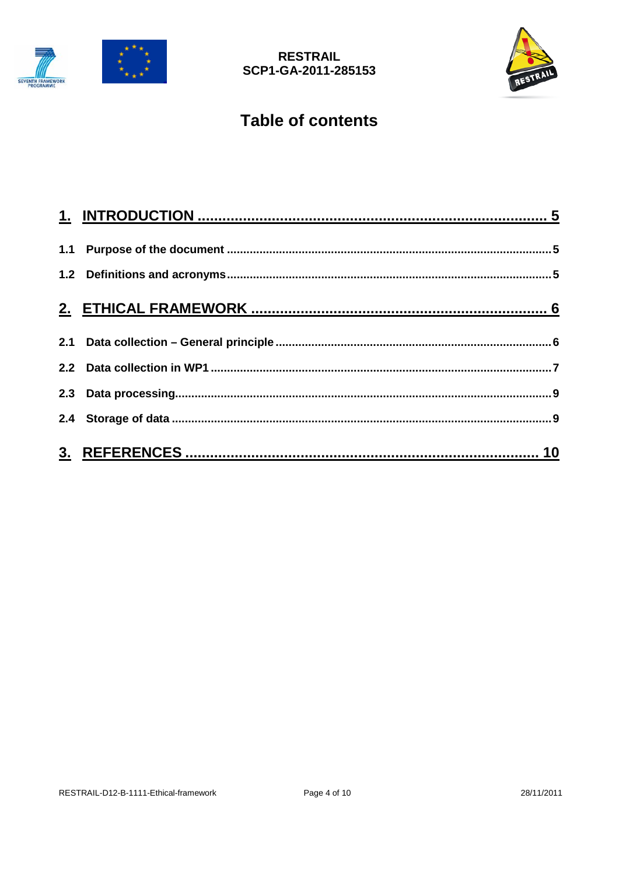



## **Table of contents**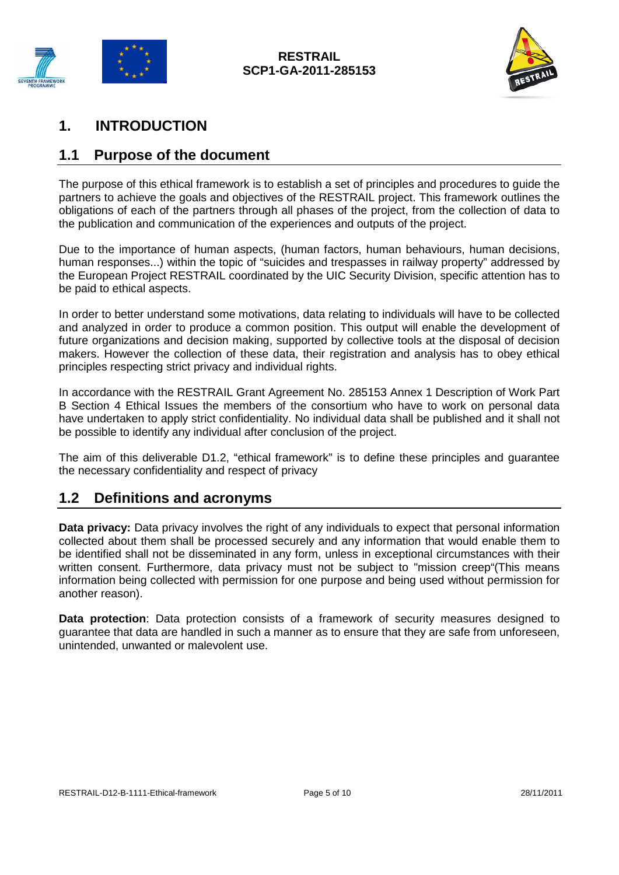



## <span id="page-4-0"></span>**1. INTRODUCTION**

### <span id="page-4-1"></span>**1.1 Purpose of the document**

The purpose of this ethical framework is to establish a set of principles and procedures to guide the partners to achieve the goals and objectives of the RESTRAIL project. This framework outlines the obligations of each of the partners through all phases of the project, from the collection of data to the publication and communication of the experiences and outputs of the project.

Due to the importance of human aspects, (human factors, human behaviours, human decisions, human responses...) within the topic of "suicides and trespasses in railway property" addressed by the European Project RESTRAIL coordinated by the UIC Security Division, specific attention has to be paid to ethical aspects.

In order to better understand some motivations, data relating to individuals will have to be collected and analyzed in order to produce a common position. This output will enable the development of future organizations and decision making, supported by collective tools at the disposal of decision makers. However the collection of these data, their registration and analysis has to obey ethical principles respecting strict privacy and individual rights.

In accordance with the RESTRAIL Grant Agreement No. 285153 Annex 1 Description of Work Part B Section 4 Ethical Issues the members of the consortium who have to work on personal data have undertaken to apply strict confidentiality. No individual data shall be published and it shall not be possible to identify any individual after conclusion of the project.

The aim of this deliverable D1.2, "ethical framework" is to define these principles and guarantee the necessary confidentiality and respect of privacy

#### <span id="page-4-2"></span>**1.2 Definitions and acronyms**

**Data privacy:** Data privacy involves the right of any individuals to expect that personal information collected about them shall be processed securely and any information that would enable them to be identified shall not be disseminated in any form, unless in exceptional circumstances with their written consent. Furthermore, data privacy must not be subject to "mission creep"(This means information being collected with permission for one purpose and being used without permission for another reason).

**Data protection**: Data protection consists of a framework of security measures designed to guarantee that data are handled in such a manner as to ensure that they are safe from unforeseen, unintended, unwanted or malevolent use.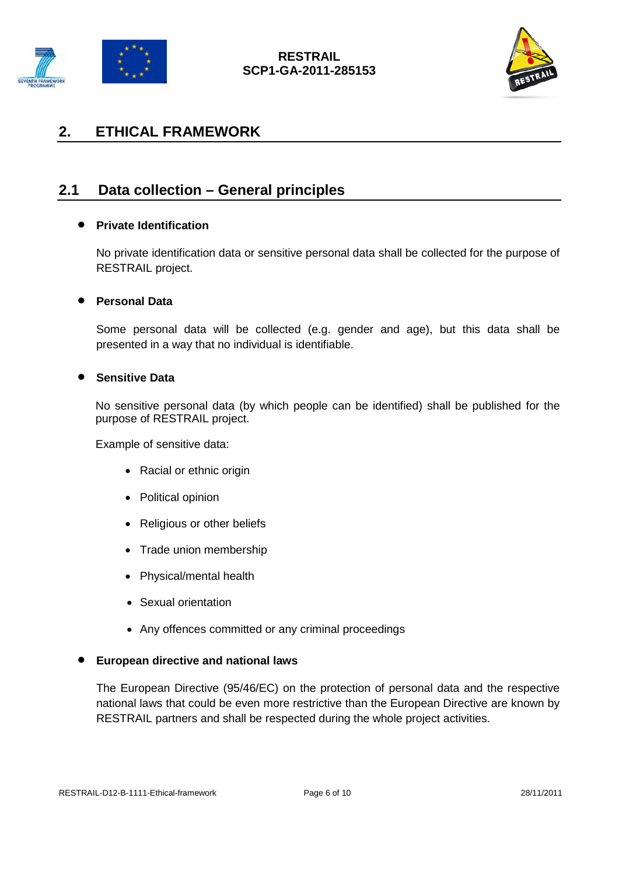



## <span id="page-5-0"></span>**2. ETHICAL FRAMEWORK**

## <span id="page-5-1"></span>**2.1 Data collection – General principles**

#### • **Private Identification**

No private identification data or sensitive personal data shall be collected for the purpose of RESTRAIL project.

#### • **Personal Data**

Some personal data will be collected (e.g. gender and age), but this data shall be presented in a way that no individual is identifiable.

#### • **Sensitive Data**

No sensitive personal data (by which people can be identified) shall be published for the purpose of RESTRAIL project.

Example of sensitive data:

- Racial or ethnic origin
- Political opinion
- Religious or other beliefs
- Trade union membership
- Physical/mental health
- Sexual orientation
- Any offences committed or any criminal proceedings

#### • **European directive and national laws**

The European Directive (95/46/EC) on the protection of personal data and the respective national laws that could be even more restrictive than the European Directive are known by RESTRAIL partners and shall be respected during the whole project activities.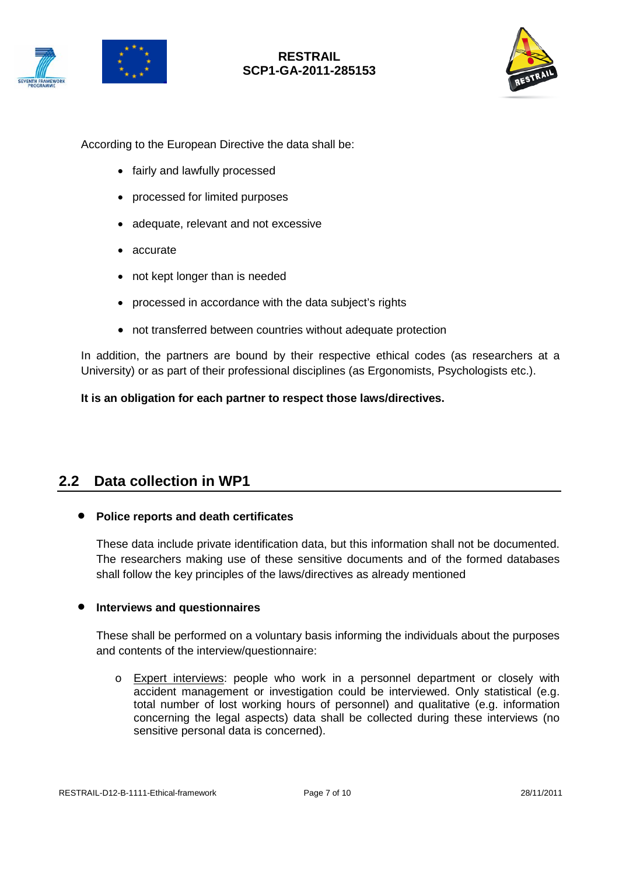



#### **RESTRAIL SCP1-GA-2011-285153**



According to the European Directive the data shall be:

- fairly and lawfully processed
- processed for limited purposes
- adequate, relevant and not excessive
- accurate
- not kept longer than is needed
- processed in accordance with the data subject's rights
- not transferred between countries without adequate protection

In addition, the partners are bound by their respective ethical codes (as researchers at a University) or as part of their professional disciplines (as Ergonomists, Psychologists etc.).

#### **It is an obligation for each partner to respect those laws/directives.**

#### <span id="page-6-0"></span>**2.2 Data collection in WP1**

#### • **Police reports and death certificates**

These data include private identification data, but this information shall not be documented. The researchers making use of these sensitive documents and of the formed databases shall follow the key principles of the laws/directives as already mentioned

#### • **Interviews and questionnaires**

These shall be performed on a voluntary basis informing the individuals about the purposes and contents of the interview/questionnaire:

o Expert interviews: people who work in a personnel department or closely with accident management or investigation could be interviewed. Only statistical (e.g. total number of lost working hours of personnel) and qualitative (e.g. information concerning the legal aspects) data shall be collected during these interviews (no sensitive personal data is concerned).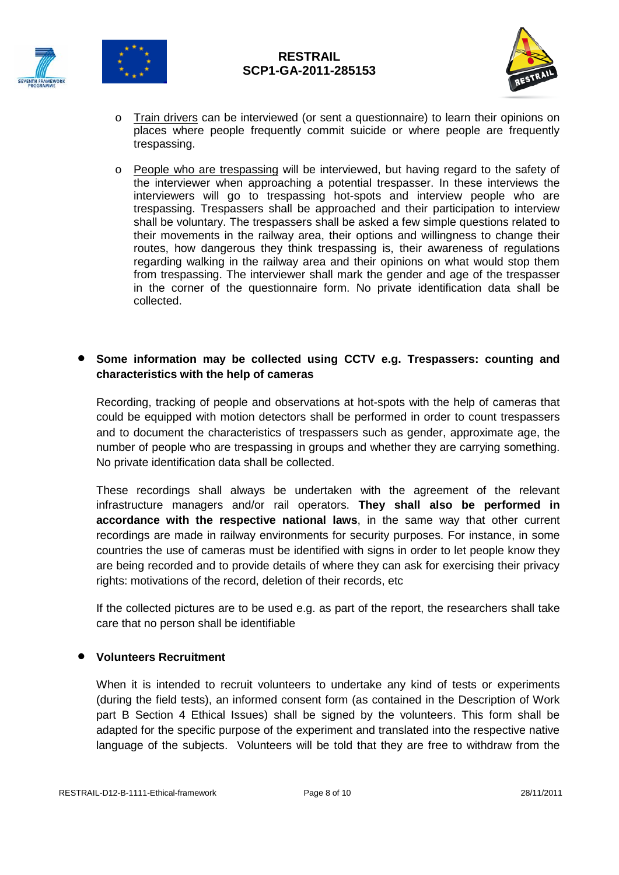





- o Train drivers can be interviewed (or sent a questionnaire) to learn their opinions on places where people frequently commit suicide or where people are frequently trespassing.
- o People who are trespassing will be interviewed, but having regard to the safety of the interviewer when approaching a potential trespasser. In these interviews the interviewers will go to trespassing hot-spots and interview people who are trespassing. Trespassers shall be approached and their participation to interview shall be voluntary. The trespassers shall be asked a few simple questions related to their movements in the railway area, their options and willingness to change their routes, how dangerous they think trespassing is, their awareness of regulations regarding walking in the railway area and their opinions on what would stop them from trespassing. The interviewer shall mark the gender and age of the trespasser in the corner of the questionnaire form. No private identification data shall be collected.

#### • **Some information may be collected using CCTV e.g. Trespassers: counting and characteristics with the help of cameras**

Recording, tracking of people and observations at hot-spots with the help of cameras that could be equipped with motion detectors shall be performed in order to count trespassers and to document the characteristics of trespassers such as gender, approximate age, the number of people who are trespassing in groups and whether they are carrying something. No private identification data shall be collected.

These recordings shall always be undertaken with the agreement of the relevant infrastructure managers and/or rail operators. **They shall also be performed in accordance with the respective national laws**, in the same way that other current recordings are made in railway environments for security purposes. For instance, in some countries the use of cameras must be identified with signs in order to let people know they are being recorded and to provide details of where they can ask for exercising their privacy rights: motivations of the record, deletion of their records, etc

If the collected pictures are to be used e.g. as part of the report, the researchers shall take care that no person shall be identifiable

#### • **Volunteers Recruitment**

When it is intended to recruit volunteers to undertake any kind of tests or experiments (during the field tests), an informed consent form (as contained in the Description of Work part B Section 4 Ethical Issues) shall be signed by the volunteers. This form shall be adapted for the specific purpose of the experiment and translated into the respective native language of the subjects. Volunteers will be told that they are free to withdraw from the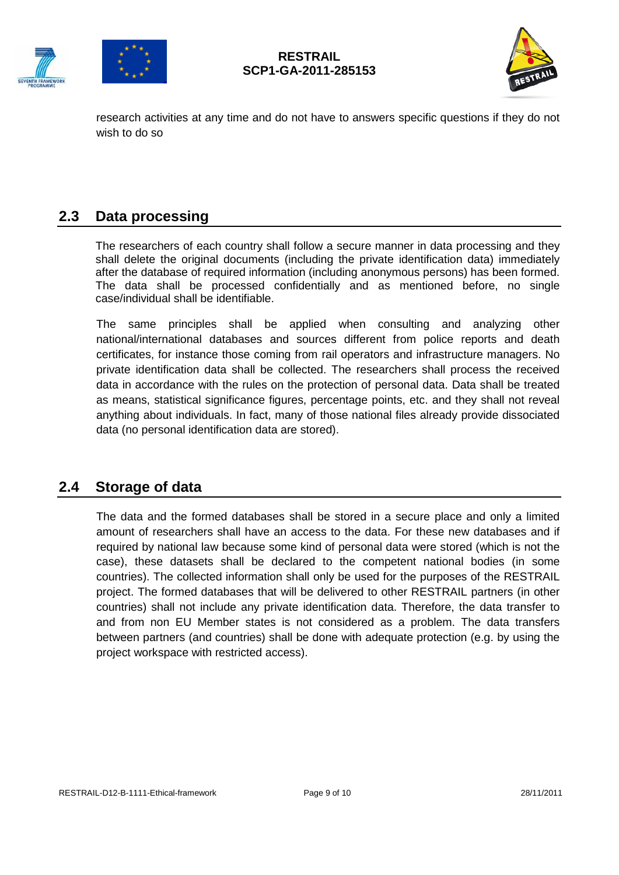





research activities at any time and do not have to answers specific questions if they do not wish to do so

#### <span id="page-8-0"></span>**2.3 Data processing**

The researchers of each country shall follow a secure manner in data processing and they shall delete the original documents (including the private identification data) immediately after the database of required information (including anonymous persons) has been formed. The data shall be processed confidentially and as mentioned before, no single case/individual shall be identifiable.

The same principles shall be applied when consulting and analyzing other national/international databases and sources different from police reports and death certificates, for instance those coming from rail operators and infrastructure managers. No private identification data shall be collected. The researchers shall process the received data in accordance with the rules on the protection of personal data. Data shall be treated as means, statistical significance figures, percentage points, etc. and they shall not reveal anything about individuals. In fact, many of those national files already provide dissociated data (no personal identification data are stored).

#### <span id="page-8-1"></span>**2.4 Storage of data**

The data and the formed databases shall be stored in a secure place and only a limited amount of researchers shall have an access to the data. For these new databases and if required by national law because some kind of personal data were stored (which is not the case), these datasets shall be declared to the competent national bodies (in some countries). The collected information shall only be used for the purposes of the RESTRAIL project. The formed databases that will be delivered to other RESTRAIL partners (in other countries) shall not include any private identification data. Therefore, the data transfer to and from non EU Member states is not considered as a problem. The data transfers between partners (and countries) shall be done with adequate protection (e.g. by using the project workspace with restricted access).